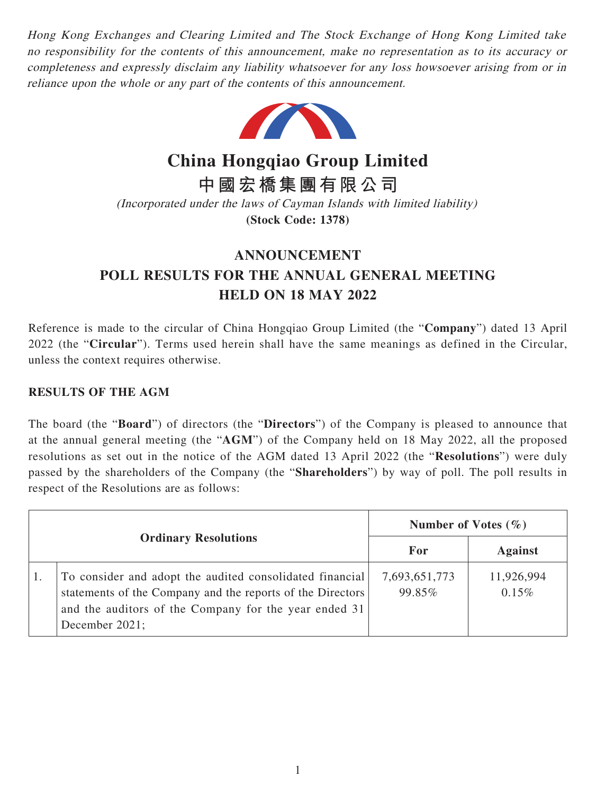Hong Kong Exchanges and Clearing Limited and The Stock Exchange of Hong Kong Limited take no responsibility for the contents of this announcement, make no representation as to its accuracy or completeness and expressly disclaim any liability whatsoever for any loss howsoever arising from or in reliance upon the whole or any part of the contents of this announcement.



**China Hongqiao Group Limited**

**中國宏橋集團有限公司**

(Incorporated under the laws of Cayman Islands with limited liability) **(Stock Code: 1378)**

## **ANNOUNCEMENT POLL RESULTS FOR THE ANNUAL GENERAL MEETING HELD ON 18 MAY 2022**

Reference is made to the circular of China Hongqiao Group Limited (the "**Company**") dated 13 April 2022 (the "**Circular**"). Terms used herein shall have the same meanings as defined in the Circular, unless the context requires otherwise.

## **RESULTS OF THE AGM**

The board (the "**Board**") of directors (the "**Directors**") of the Company is pleased to announce that at the annual general meeting (the "**AGM**") of the Company held on 18 May 2022, all the proposed resolutions as set out in the notice of the AGM dated 13 April 2022 (the "**Resolutions**") were duly passed by the shareholders of the Company (the "**Shareholders**") by way of poll. The poll results in respect of the Resolutions are as follows:

|                             |                                                                                                                                                                                                   | Number of Votes $(\% )$ |                        |
|-----------------------------|---------------------------------------------------------------------------------------------------------------------------------------------------------------------------------------------------|-------------------------|------------------------|
| <b>Ordinary Resolutions</b> |                                                                                                                                                                                                   | For                     | <b>Against</b>         |
|                             | To consider and adopt the audited consolidated financial<br>statements of the Company and the reports of the Directors<br>and the auditors of the Company for the year ended 31<br>December 2021; | 7,693,651,773<br>99.85% | 11,926,994<br>$0.15\%$ |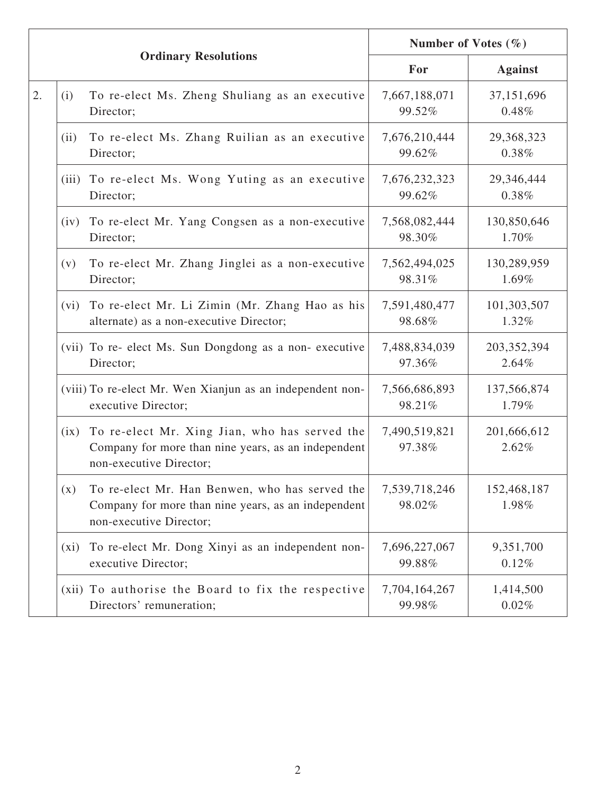|    | <b>Ordinary Resolutions</b> |                                                                                                                                  | Number of Votes $(\% )$ |                        |
|----|-----------------------------|----------------------------------------------------------------------------------------------------------------------------------|-------------------------|------------------------|
|    |                             |                                                                                                                                  | For                     | <b>Against</b>         |
| 2. | (i)                         | To re-elect Ms. Zheng Shuliang as an executive<br>Director;                                                                      | 7,667,188,071<br>99.52% | 37,151,696<br>0.48%    |
|    | (ii)                        | To re-elect Ms. Zhang Ruilian as an executive<br>Director;                                                                       | 7,676,210,444<br>99.62% | 29,368,323<br>0.38%    |
|    |                             | (iii) To re-elect Ms. Wong Yuting as an executive<br>Director;                                                                   | 7,676,232,323<br>99.62% | 29,346,444<br>0.38%    |
|    | (iv)                        | To re-elect Mr. Yang Congsen as a non-executive<br>Director;                                                                     | 7,568,082,444<br>98.30% | 130,850,646<br>1.70%   |
|    | (v)                         | To re-elect Mr. Zhang Jinglei as a non-executive<br>Director;                                                                    | 7,562,494,025<br>98.31% | 130,289,959<br>1.69%   |
|    | (vi)                        | To re-elect Mr. Li Zimin (Mr. Zhang Hao as his<br>alternate) as a non-executive Director;                                        | 7,591,480,477<br>98.68% | 101,303,507<br>1.32%   |
|    |                             | (vii) To re- elect Ms. Sun Dongdong as a non- executive<br>Director;                                                             | 7,488,834,039<br>97.36% | 203, 352, 394<br>2.64% |
|    |                             | (viii) To re-elect Mr. Wen Xianjun as an independent non-<br>executive Director;                                                 | 7,566,686,893<br>98.21% | 137,566,874<br>1.79%   |
|    | (ix)                        | To re-elect Mr. Xing Jian, who has served the<br>Company for more than nine years, as an independent<br>non-executive Director;  | 7,490,519,821<br>97.38% | 201,666,612<br>2.62%   |
|    | (x)                         | To re-elect Mr. Han Benwen, who has served the<br>Company for more than nine years, as an independent<br>non-executive Director; | 7,539,718,246<br>98.02% | 152,468,187<br>1.98%   |
|    | $(x_i)$                     | To re-elect Mr. Dong Xinyi as an independent non-<br>executive Director;                                                         | 7,696,227,067<br>99.88% | 9,351,700<br>0.12%     |
|    |                             | (xii) To authorise the Board to fix the respective<br>Directors' remuneration;                                                   | 7,704,164,267<br>99.98% | 1,414,500<br>0.02%     |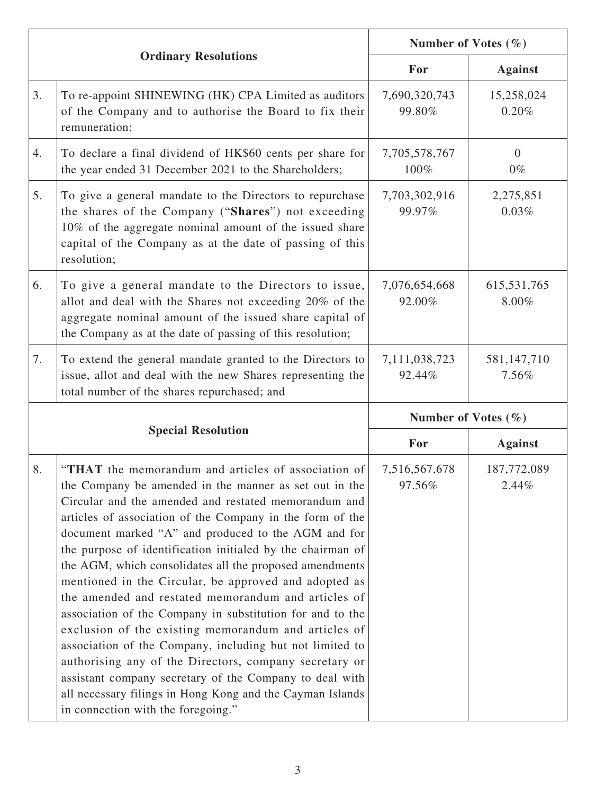|    |                                                                                                                                                                                                                                                                                                                                                                                                                                                                                                                                                                                                                                                                                                                                                                                                                                                                                                                                             | Number of Votes $(\% )$ |                         |  |
|----|---------------------------------------------------------------------------------------------------------------------------------------------------------------------------------------------------------------------------------------------------------------------------------------------------------------------------------------------------------------------------------------------------------------------------------------------------------------------------------------------------------------------------------------------------------------------------------------------------------------------------------------------------------------------------------------------------------------------------------------------------------------------------------------------------------------------------------------------------------------------------------------------------------------------------------------------|-------------------------|-------------------------|--|
|    | <b>Ordinary Resolutions</b>                                                                                                                                                                                                                                                                                                                                                                                                                                                                                                                                                                                                                                                                                                                                                                                                                                                                                                                 | For                     | <b>Against</b>          |  |
| 3. | To re-appoint SHINEWING (HK) CPA Limited as auditors<br>of the Company and to authorise the Board to fix their<br>remuneration;                                                                                                                                                                                                                                                                                                                                                                                                                                                                                                                                                                                                                                                                                                                                                                                                             | 7,690,320,743<br>99.80% | 15,258,024<br>0.20%     |  |
| 4. | To declare a final dividend of HK\$60 cents per share for<br>the year ended 31 December 2021 to the Shareholders;                                                                                                                                                                                                                                                                                                                                                                                                                                                                                                                                                                                                                                                                                                                                                                                                                           | 7,705,578,767<br>100%   | $\overline{0}$<br>$0\%$ |  |
| 5. | To give a general mandate to the Directors to repurchase<br>the shares of the Company ("Shares") not exceeding<br>10% of the aggregate nominal amount of the issued share<br>capital of the Company as at the date of passing of this<br>resolution;                                                                                                                                                                                                                                                                                                                                                                                                                                                                                                                                                                                                                                                                                        | 7,703,302,916<br>99.97% | 2,275,851<br>0.03%      |  |
| 6. | To give a general mandate to the Directors to issue,<br>allot and deal with the Shares not exceeding 20% of the<br>aggregate nominal amount of the issued share capital of<br>the Company as at the date of passing of this resolution;                                                                                                                                                                                                                                                                                                                                                                                                                                                                                                                                                                                                                                                                                                     | 7,076,654,668<br>92.00% | 615, 531, 765<br>8.00%  |  |
| 7. | To extend the general mandate granted to the Directors to<br>issue, allot and deal with the new Shares representing the<br>total number of the shares repurchased; and                                                                                                                                                                                                                                                                                                                                                                                                                                                                                                                                                                                                                                                                                                                                                                      | 7,111,038,723<br>92.44% | 581, 147, 710<br>7.56%  |  |
|    |                                                                                                                                                                                                                                                                                                                                                                                                                                                                                                                                                                                                                                                                                                                                                                                                                                                                                                                                             | Number of Votes $(\% )$ |                         |  |
|    | <b>Special Resolution</b>                                                                                                                                                                                                                                                                                                                                                                                                                                                                                                                                                                                                                                                                                                                                                                                                                                                                                                                   | For                     | <b>Against</b>          |  |
| 8. | "THAT the memorandum and articles of association of<br>the Company be amended in the manner as set out in the<br>Circular and the amended and restated memorandum and<br>articles of association of the Company in the form of the<br>document marked "A" and produced to the AGM and for<br>the purpose of identification initialed by the chairman of<br>the AGM, which consolidates all the proposed amendments<br>mentioned in the Circular, be approved and adopted as<br>the amended and restated memorandum and articles of<br>association of the Company in substitution for and to the<br>exclusion of the existing memorandum and articles of<br>association of the Company, including but not limited to<br>authorising any of the Directors, company secretary or<br>assistant company secretary of the Company to deal with<br>all necessary filings in Hong Kong and the Cayman Islands<br>in connection with the foregoing." | 7,516,567,678<br>97.56% | 187,772,089<br>2.44%    |  |